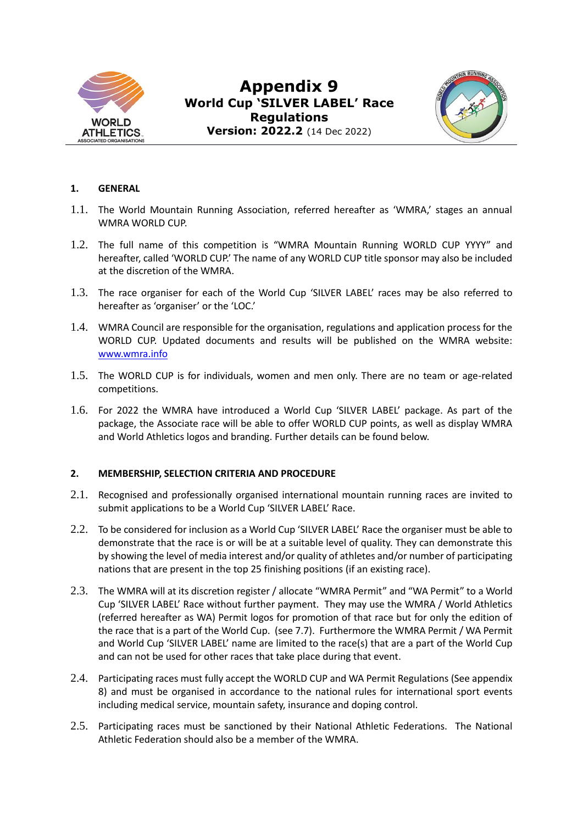

# **Appendix 9 World Cup 'SILVER LABEL' Race Regulations Version: 2022.2** (14 Dec 2022)



## **1. GENERAL**

- 1.1. The World Mountain Running Association, referred hereafter as 'WMRA,' stages an annual WMRA WORLD CUP.
- 1.2. The full name of this competition is "WMRA Mountain Running WORLD CUP YYYY" and hereafter, called 'WORLD CUP.' The name of any WORLD CUP title sponsor may also be included at the discretion of the WMRA.
- 1.3. The race organiser for each of the World Cup 'SILVER LABEL' races may be also referred to hereafter as 'organiser' or the 'LOC.'
- 1.4. WMRA Council are responsible for the organisation, regulations and application process for the WORLD CUP. Updated documents and results will be published on the WMRA website: [www.wmra.info](http://www.wmra.info/#_blank)
- 1.5. The WORLD CUP is for individuals, women and men only. There are no team or age-related competitions.
- 1.6. For 2022 the WMRA have introduced a World Cup 'SILVER LABEL' package. As part of the package, the Associate race will be able to offer WORLD CUP points, as well as display WMRA and World Athletics logos and branding. Further details can be found below.

## **2. MEMBERSHIP, SELECTION CRITERIA AND PROCEDURE**

- 2.1. Recognised and professionally organised international mountain running races are invited to submit applications to be a World Cup 'SILVER LABEL' Race.
- 2.2. To be considered for inclusion as a World Cup 'SILVER LABEL' Race the organiser must be able to demonstrate that the race is or will be at a suitable level of quality. They can demonstrate this by showing the level of media interest and/or quality of athletes and/or number of participating nations that are present in the top 25 finishing positions (if an existing race).
- 2.3. The WMRA will at its discretion register / allocate "WMRA Permit" and "WA Permit" to a World Cup 'SILVER LABEL' Race without further payment. They may use the WMRA / World Athletics (referred hereafter as WA) Permit logos for promotion of that race but for only the edition of the race that is a part of the World Cup. (see 7.7). Furthermore the WMRA Permit / WA Permit and World Cup 'SILVER LABEL' name are limited to the race(s) that are a part of the World Cup and can not be used for other races that take place during that event.
- 2.4. Participating races must fully accept the WORLD CUP and WA Permit Regulations (See appendix 8) and must be organised in accordance to the national rules for international sport events including medical service, mountain safety, insurance and doping control.
- 2.5. Participating races must be sanctioned by their National Athletic Federations. The National Athletic Federation should also be a member of the WMRA.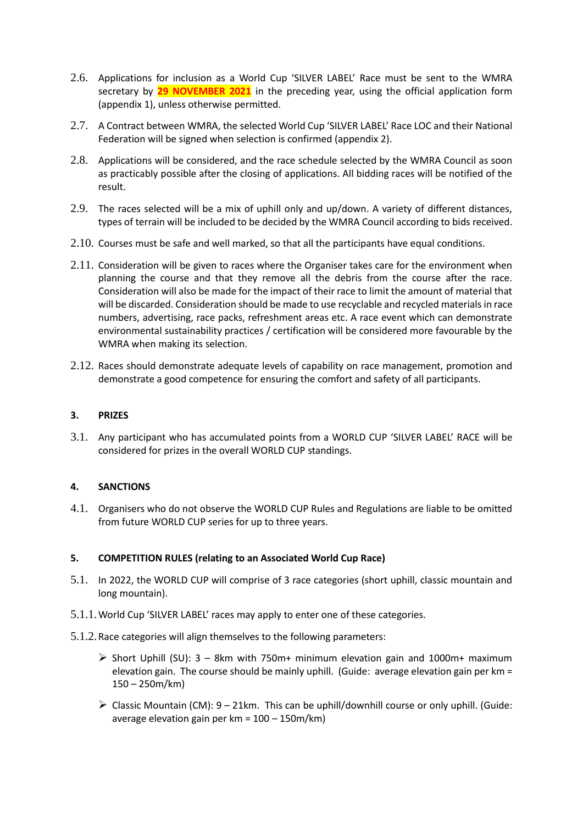- 2.6. Applications for inclusion as a World Cup 'SILVER LABEL' Race must be sent to the WMRA secretary by **29 NOVEMBER 2021** in the preceding year, using the official application form (appendix 1), unless otherwise permitted.
- 2.7. A Contract between WMRA, the selected World Cup 'SILVER LABEL' Race LOC and their National Federation will be signed when selection is confirmed (appendix 2).
- 2.8. Applications will be considered, and the race schedule selected by the WMRA Council as soon as practicably possible after the closing of applications. All bidding races will be notified of the result.
- 2.9. The races selected will be a mix of uphill only and up/down. A variety of different distances, types of terrain will be included to be decided by the WMRA Council according to bids received.
- 2.10. Courses must be safe and well marked, so that all the participants have equal conditions.
- 2.11. Consideration will be given to races where the Organiser takes care for the environment when planning the course and that they remove all the debris from the course after the race. Consideration will also be made for the impact of their race to limit the amount of material that will be discarded. Consideration should be made to use recyclable and recycled materials in race numbers, advertising, race packs, refreshment areas etc. A race event which can demonstrate environmental sustainability practices / certification will be considered more favourable by the WMRA when making its selection.
- 2.12. Races should demonstrate adequate levels of capability on race management, promotion and demonstrate a good competence for ensuring the comfort and safety of all participants.

### **3. PRIZES**

3.1. Any participant who has accumulated points from a WORLD CUP 'SILVER LABEL' RACE will be considered for prizes in the overall WORLD CUP standings.

## **4. SANCTIONS**

4.1. Organisers who do not observe the WORLD CUP Rules and Regulations are liable to be omitted from future WORLD CUP series for up to three years.

#### **5. COMPETITION RULES (relating to an Associated World Cup Race)**

- 5.1. In 2022, the WORLD CUP will comprise of 3 race categories (short uphill, classic mountain and long mountain).
- 5.1.1.World Cup 'SILVER LABEL' races may apply to enter one of these categories.
- 5.1.2.Race categories will align themselves to the following parameters:
	- $\triangleright$  Short Uphill (SU): 3 8km with 750m+ minimum elevation gain and 1000m+ maximum elevation gain. The course should be mainly uphill. (Guide: average elevation gain per km = 150 – 250m/km)
	- $\triangleright$  Classic Mountain (CM): 9 21km. This can be uphill/downhill course or only uphill. (Guide: average elevation gain per km = 100 – 150m/km)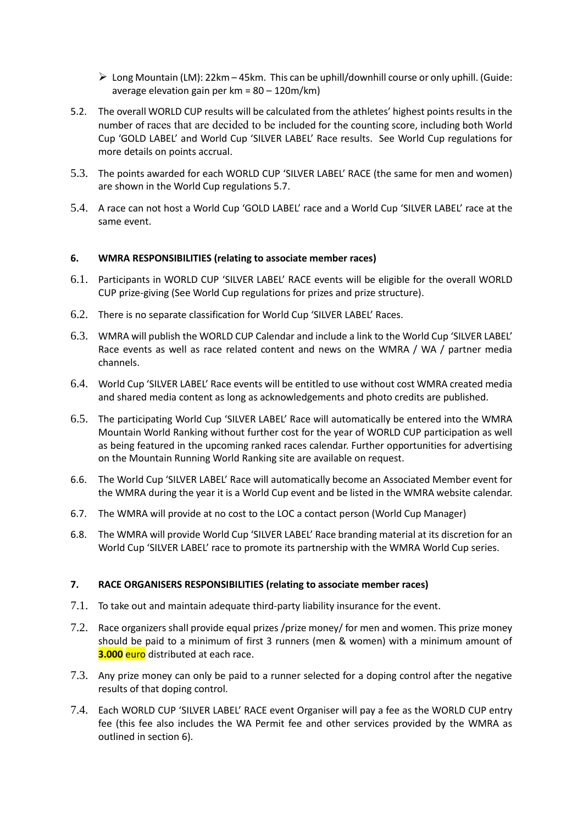- $\triangleright$  Long Mountain (LM): 22km 45km. This can be uphill/downhill course or only uphill. (Guide: average elevation gain per km = 80 – 120m/km)
- 5.2. The overall WORLD CUP results will be calculated from the athletes' highest points results in the number of races that are decided to be included for the counting score, including both World Cup 'GOLD LABEL' and World Cup 'SILVER LABEL' Race results. See World Cup regulations for more details on points accrual.
- 5.3. The points awarded for each WORLD CUP 'SILVER LABEL' RACE (the same for men and women) are shown in the World Cup regulations 5.7.
- 5.4. A race can not host a World Cup 'GOLD LABEL' race and a World Cup 'SILVER LABEL' race at the same event.

#### **6. WMRA RESPONSIBILITIES (relating to associate member races)**

- 6.1. Participants in WORLD CUP 'SILVER LABEL' RACE events will be eligible for the overall WORLD CUP prize-giving (See World Cup regulations for prizes and prize structure).
- 6.2. There is no separate classification for World Cup 'SILVER LABEL' Races.
- 6.3. WMRA will publish the WORLD CUP Calendar and include a link to the World Cup 'SILVER LABEL' Race events as well as race related content and news on the WMRA / WA / partner media channels.
- 6.4. World Cup 'SILVER LABEL' Race events will be entitled to use without cost WMRA created media and shared media content as long as acknowledgements and photo credits are published.
- 6.5. The participating World Cup 'SILVER LABEL' Race will automatically be entered into the WMRA Mountain World Ranking without further cost for the year of WORLD CUP participation as well as being featured in the upcoming ranked races calendar. Further opportunities for advertising on the Mountain Running World Ranking site are available on request.
- 6.6. The World Cup 'SILVER LABEL' Race will automatically become an Associated Member event for the WMRA during the year it is a World Cup event and be listed in the WMRA website calendar.
- 6.7. The WMRA will provide at no cost to the LOC a contact person (World Cup Manager)
- 6.8. The WMRA will provide World Cup 'SILVER LABEL' Race branding material at its discretion for an World Cup 'SILVER LABEL' race to promote its partnership with the WMRA World Cup series.

#### **7. RACE ORGANISERS RESPONSIBILITIES (relating to associate member races)**

- 7.1. To take out and maintain adequate third-party liability insurance for the event.
- 7.2. Race organizers shall provide equal prizes /prize money/ for men and women. This prize money should be paid to a minimum of first 3 runners (men & women) with a minimum amount of **3.000** euro distributed at each race.
- 7.3. Any prize money can only be paid to a runner selected for a doping control after the negative results of that doping control.
- 7.4. Each WORLD CUP 'SILVER LABEL' RACE event Organiser will pay a fee as the WORLD CUP entry fee (this fee also includes the WA Permit fee and other services provided by the WMRA as outlined in section 6).